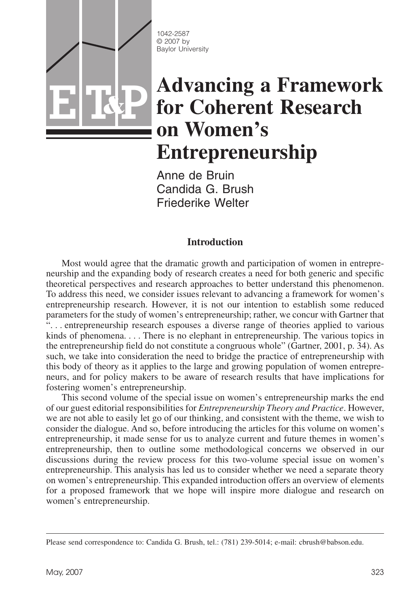1042-2587 © 2007 by Baylor University

**E T&P**

# **Advancing a Framework for Coherent Research on Women's Entrepreneurship**

Anne de Bruin Candida G. Brush Friederike Welter

## **Introduction**

Most would agree that the dramatic growth and participation of women in entrepreneurship and the expanding body of research creates a need for both generic and specific theoretical perspectives and research approaches to better understand this phenomenon. To address this need, we consider issues relevant to advancing a framework for women's entrepreneurship research. However, it is not our intention to establish some reduced parameters for the study of women's entrepreneurship; rather, we concur with Gartner that ". . . entrepreneurship research espouses a diverse range of theories applied to various kinds of phenomena.... There is no elephant in entrepreneurship. The various topics in the entrepreneurship field do not constitute a congruous whole" (Gartner, 2001, p. 34). As such, we take into consideration the need to bridge the practice of entrepreneurship with this body of theory as it applies to the large and growing population of women entrepreneurs, and for policy makers to be aware of research results that have implications for fostering women's entrepreneurship.

This second volume of the special issue on women's entrepreneurship marks the end of our guest editorial responsibilities for *Entrepreneurship Theory and Practice*. However, we are not able to easily let go of our thinking, and consistent with the theme, we wish to consider the dialogue. And so, before introducing the articles for this volume on women's entrepreneurship, it made sense for us to analyze current and future themes in women's entrepreneurship, then to outline some methodological concerns we observed in our discussions during the review process for this two-volume special issue on women's entrepreneurship. This analysis has led us to consider whether we need a separate theory on women's entrepreneurship. This expanded introduction offers an overview of elements for a proposed framework that we hope will inspire more dialogue and research on women's entrepreneurship.

Please send correspondence to: Candida G. Brush, tel.: (781) 239-5014; e-mail: [cbrush@babson.edu.](mailto:cbrush@babson.edu)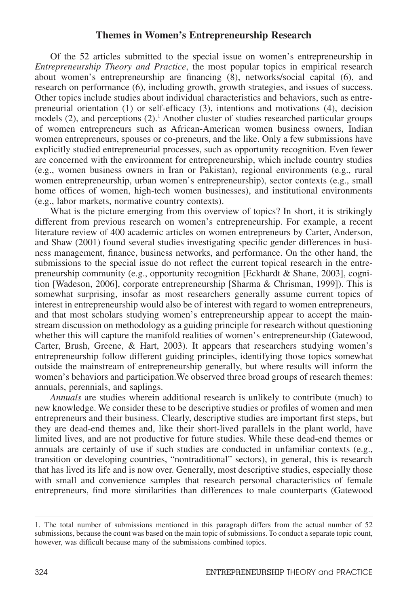#### **Themes in Women's Entrepreneurship Research**

Of the 52 articles submitted to the special issue on women's entrepreneurship in *Entrepreneurship Theory and Practice*, the most popular topics in empirical research about women's entrepreneurship are financing (8), networks/social capital (6), and research on performance (6), including growth, growth strategies, and issues of success. Other topics include studies about individual characteristics and behaviors, such as entrepreneurial orientation (1) or self-efficacy (3), intentions and motivations (4), decision models  $(2)$ , and perceptions  $(2)$ .<sup>1</sup> Another cluster of studies researched particular groups of women entrepreneurs such as African-American women business owners, Indian women entrepreneurs, spouses or co-preneurs, and the like. Only a few submissions have explicitly studied entrepreneurial processes, such as opportunity recognition. Even fewer are concerned with the environment for entrepreneurship, which include country studies (e.g., women business owners in Iran or Pakistan), regional environments (e.g., rural women entrepreneurship, urban women's entrepreneurship), sector contexts (e.g., small home offices of women, high-tech women businesses), and institutional environments (e.g., labor markets, normative country contexts).

What is the picture emerging from this overview of topics? In short, it is strikingly different from previous research on women's entrepreneurship. For example, a recent literature review of 400 academic articles on women entrepreneurs by Carter, Anderson, and Shaw (2001) found several studies investigating specific gender differences in business management, finance, business networks, and performance. On the other hand, the submissions to the special issue do not reflect the current topical research in the entrepreneurship community (e.g., opportunity recognition [Eckhardt & Shane, 2003], cognition [Wadeson, 2006], corporate entrepreneurship [Sharma & Chrisman, 1999]). This is somewhat surprising, insofar as most researchers generally assume current topics of interest in entrepreneurship would also be of interest with regard to women entrepreneurs, and that most scholars studying women's entrepreneurship appear to accept the mainstream discussion on methodology as a guiding principle for research without questioning whether this will capture the manifold realities of women's entrepreneurship (Gatewood, Carter, Brush, Greene, & Hart, 2003). It appears that researchers studying women's entrepreneurship follow different guiding principles, identifying those topics somewhat outside the mainstream of entrepreneurship generally, but where results will inform the women's behaviors and participation.We observed three broad groups of research themes: annuals, perennials, and saplings.

*Annuals* are studies wherein additional research is unlikely to contribute (much) to new knowledge. We consider these to be descriptive studies or profiles of women and men entrepreneurs and their business. Clearly, descriptive studies are important first steps, but they are dead-end themes and, like their short-lived parallels in the plant world, have limited lives, and are not productive for future studies. While these dead-end themes or annuals are certainly of use if such studies are conducted in unfamiliar contexts (e.g., transition or developing countries, "nontraditional" sectors), in general, this is research that has lived its life and is now over. Generally, most descriptive studies, especially those with small and convenience samples that research personal characteristics of female entrepreneurs, find more similarities than differences to male counterparts (Gatewood

<sup>1.</sup> The total number of submissions mentioned in this paragraph differs from the actual number of 52 submissions, because the count was based on the main topic of submissions. To conduct a separate topic count, however, was difficult because many of the submissions combined topics.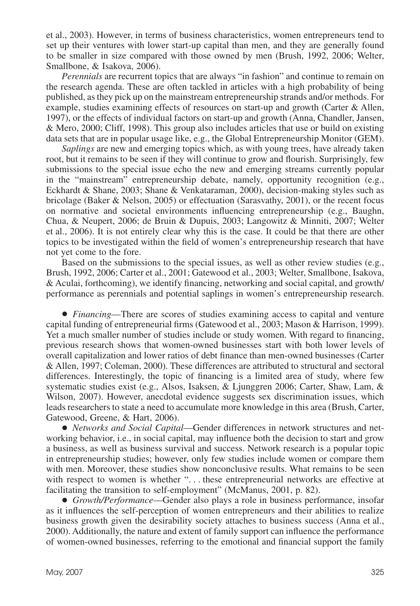et al., 2003). However, in terms of business characteristics, women entrepreneurs tend to set up their ventures with lower start-up capital than men, and they are generally found to be smaller in size compared with those owned by men (Brush, 1992, 2006; Welter, Smallbone, & Isakova, 2006).

*Perennials* are recurrent topics that are always "in fashion" and continue to remain on the research agenda. These are often tackled in articles with a high probability of being published, as they pick up on the mainstream entrepreneurship strands and/or methods. For example, studies examining effects of resources on start-up and growth (Carter & Allen, 1997), or the effects of individual factors on start-up and growth (Anna, Chandler, Jansen, & Mero, 2000; Cliff, 1998). This group also includes articles that use or build on existing data sets that are in popular usage like, e.g., the Global Entrepreneurship Monitor (GEM).

*Saplings* are new and emerging topics which, as with young trees, have already taken root, but it remains to be seen if they will continue to grow and flourish. Surprisingly, few submissions to the special issue echo the new and emerging streams currently popular in the "mainstream" entrepreneurship debate, namely, opportunity recognition (e.g., Eckhardt & Shane, 2003; Shane & Venkataraman, 2000), decision-making styles such as bricolage (Baker & Nelson, 2005) or effectuation (Sarasvathy, 2001), or the recent focus on normative and societal environments influencing entrepreneurship (e.g., Baughn, Chua, & Neupert, 2006; de Bruin & Dupuis, 2003; Langowitz & Minniti, 2007; Welter et al., 2006). It is not entirely clear why this is the case. It could be that there are other topics to be investigated within the field of women's entrepreneurship research that have not yet come to the fore.

Based on the submissions to the special issues, as well as other review studies (e.g., Brush, 1992, 2006; Carter et al., 2001; Gatewood et al., 2003; Welter, Smallbone, Isakova, & Aculai, forthcoming), we identify financing, networking and social capital, and growth/ performance as perennials and potential saplings in women's entrepreneurship research.

• *Financing*—There are scores of studies examining access to capital and venture capital funding of entrepreneurial firms (Gatewood et al., 2003; Mason & Harrison, 1999). Yet a much smaller number of studies include or study women. With regard to financing, previous research shows that women-owned businesses start with both lower levels of overall capitalization and lower ratios of debt finance than men-owned businesses (Carter & Allen, 1997; Coleman, 2000). These differences are attributed to structural and sectoral differences. Interestingly, the topic of financing is a limited area of study, where few systematic studies exist (e.g., Alsos, Isaksen, & Ljunggren 2006; Carter, Shaw, Lam, & Wilson, 2007). However, anecdotal evidence suggests sex discrimination issues, which leads researchers to state a need to accumulate more knowledge in this area (Brush, Carter, Gatewood, Greene, & Hart, 2006).

• *Networks and Social Capital*—Gender differences in network structures and networking behavior, i.e., in social capital, may influence both the decision to start and grow a business, as well as business survival and success. Network research is a popular topic in entrepreneurship studies; however, only few studies include women or compare them with men. Moreover, these studies show nonconclusive results. What remains to be seen with respect to women is whether "... these entrepreneurial networks are effective at facilitating the transition to self-employment" (McManus, 2001, p. 82).

• *Growth/Performance*—Gender also plays a role in business performance, insofar as it influences the self-perception of women entrepreneurs and their abilities to realize business growth given the desirability society attaches to business success (Anna et al., 2000). Additionally, the nature and extent of family support can influence the performance of women-owned businesses, referring to the emotional and financial support the family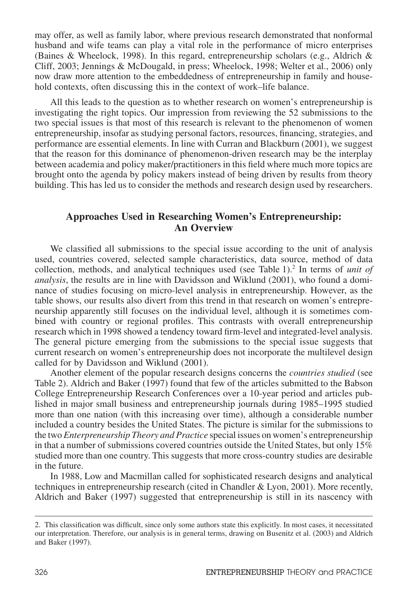may offer, as well as family labor, where previous research demonstrated that nonformal husband and wife teams can play a vital role in the performance of micro enterprises (Baines & Wheelock, 1998). In this regard, entrepreneurship scholars (e.g., Aldrich & Cliff, 2003; Jennings & McDougald, in press; Wheelock, 1998; Welter et al., 2006) only now draw more attention to the embeddedness of entrepreneurship in family and household contexts, often discussing this in the context of work–life balance.

All this leads to the question as to whether research on women's entrepreneurship is investigating the right topics. Our impression from reviewing the 52 submissions to the two special issues is that most of this research is relevant to the phenomenon of women entrepreneurship, insofar as studying personal factors, resources, financing, strategies, and performance are essential elements. In line with Curran and Blackburn (2001), we suggest that the reason for this dominance of phenomenon-driven research may be the interplay between academia and policy maker/practitioners in this field where much more topics are brought onto the agenda by policy makers instead of being driven by results from theory building. This has led us to consider the methods and research design used by researchers.

## **Approaches Used in Researching Women's Entrepreneurship: An Overview**

We classified all submissions to the special issue according to the unit of analysis used, countries covered, selected sample characteristics, data source, method of data collection, methods, and analytical techniques used (see Table 1).2 In terms of *unit of analysis*, the results are in line with Davidsson and Wiklund (2001), who found a dominance of studies focusing on micro-level analysis in entrepreneurship. However, as the table shows, our results also divert from this trend in that research on women's entrepreneurship apparently still focuses on the individual level, although it is sometimes combined with country or regional profiles. This contrasts with overall entrepreneurship research which in 1998 showed a tendency toward firm-level and integrated-level analysis. The general picture emerging from the submissions to the special issue suggests that current research on women's entrepreneurship does not incorporate the multilevel design called for by Davidsson and Wiklund (2001).

Another element of the popular research designs concerns the *countries studied* (see Table 2). Aldrich and Baker (1997) found that few of the articles submitted to the Babson College Entrepreneurship Research Conferences over a 10-year period and articles published in major small business and entrepreneurship journals during 1985–1995 studied more than one nation (with this increasing over time), although a considerable number included a country besides the United States. The picture is similar for the submissions to the two *Enterpreneurship Theory and Practice* special issues on women's entrepreneurship in that a number of submissions covered countries outside the United States, but only 15% studied more than one country. This suggests that more cross-country studies are desirable in the future.

In 1988, Low and Macmillan called for sophisticated research designs and analytical techniques in entrepreneurship research (cited in Chandler & Lyon, 2001). More recently, Aldrich and Baker (1997) suggested that entrepreneurship is still in its nascency with

<sup>2.</sup> This classification was difficult, since only some authors state this explicitly. In most cases, it necessitated our interpretation. Therefore, our analysis is in general terms, drawing on Busenitz et al. (2003) and Aldrich and Baker (1997).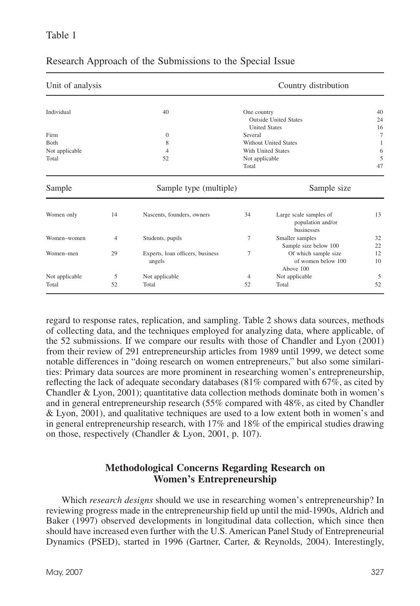## Table 1

| Unit of analysis    |    |                                            |                              | Country distribution                                                |                |  |
|---------------------|----|--------------------------------------------|------------------------------|---------------------------------------------------------------------|----------------|--|
| Individual          |    | 40                                         |                              | One country<br><b>Outside United States</b><br><b>United States</b> |                |  |
| Firm                |    | $\mathbf{0}$                               | Several                      |                                                                     |                |  |
| 8<br><b>B</b> oth   |    |                                            | <b>Without United States</b> |                                                                     | $\overline{7}$ |  |
| Not applicable<br>4 |    |                                            | With United States           |                                                                     | 6              |  |
| Total               |    | 52                                         |                              | Not applicable                                                      |                |  |
|                     |    |                                            | Total                        |                                                                     | 47             |  |
| Sample              |    | Sample type (multiple)                     |                              | Sample size                                                         |                |  |
| Women only          | 14 | Nascents, founders, owners                 | 34                           | Large scale samples of<br>population and/or<br><b>businesses</b>    | 13             |  |
| Women-women         | 4  | Students, pupils                           | 7                            | Smaller samples<br>Sample size below 100                            | 32<br>22       |  |
| Women-men           | 29 | Experts, loan officers, business<br>angels | 7                            | Of which sample size<br>of women below 100<br>Above 100             | 12<br>10       |  |
| Not applicable      | 5  | Not applicable                             | 4                            | Not applicable                                                      | 5              |  |
| Total               | 52 | Total                                      | 52                           | Total                                                               | 52             |  |

## Research Approach of the Submissions to the Special Issue

regard to response rates, replication, and sampling. Table 2 shows data sources, methods of collecting data, and the techniques employed for analyzing data, where applicable, of the 52 submissions. If we compare our results with those of Chandler and Lyon (2001) from their review of 291 entrepreneurship articles from 1989 until 1999, we detect some notable differences in "doing research on women entrepreneurs," but also some similarities: Primary data sources are more prominent in researching women's entrepreneurship, reflecting the lack of adequate secondary databases (81% compared with 67%, as cited by Chandler & Lyon, 2001); quantitative data collection methods dominate both in women's and in general entrepreneurship research (55% compared with 48%, as cited by Chandler & Lyon, 2001), and qualitative techniques are used to a low extent both in women's and in general entrepreneurship research, with 17% and 18% of the empirical studies drawing on those, respectively (Chandler & Lyon, 2001, p. 107).

## **Methodological Concerns Regarding Research on Women's Entrepreneurship**

Which *research designs* should we use in researching women's entrepreneurship? In reviewing progress made in the entrepreneurship field up until the mid-1990s, Aldrich and Baker (1997) observed developments in longitudinal data collection, which since then should have increased even further with the U.S. American Panel Study of Entrepreneurial Dynamics (PSED), started in 1996 (Gartner, Carter, & Reynolds, 2004). Interestingly,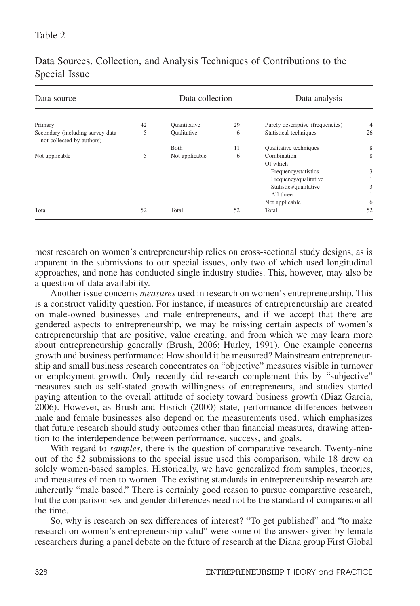| Data source                                                   | Data collection |                    | Data analysis |                                  |                |
|---------------------------------------------------------------|-----------------|--------------------|---------------|----------------------------------|----------------|
| Primary                                                       | 42              | Quantitative       | 29            | Purely descriptive (frequencies) | $\overline{4}$ |
| Secondary (including survey data<br>not collected by authors) | 5               | <b>Qualitative</b> | 6             | Statistical techniques           | 26             |
|                                                               |                 | Both               | 11            | Qualitative techniques           | 8              |
| Not applicable                                                | 5               | Not applicable     | 6             | Combination                      | 8              |
|                                                               |                 |                    |               | Of which                         |                |
|                                                               |                 |                    |               | Frequency/statistics             | 3              |
|                                                               |                 |                    |               | Frequency/qualitative            | 1              |
|                                                               |                 |                    |               | Statistics/qualitative           | 3              |
|                                                               |                 |                    |               | All three                        | 1              |
|                                                               |                 |                    |               | Not applicable                   | 6              |
| Total                                                         | 52              | Total              | 52            | Total                            | 52             |

Data Sources, Collection, and Analysis Techniques of Contributions to the Special Issue

most research on women's entrepreneurship relies on cross-sectional study designs, as is apparent in the submissions to our special issues, only two of which used longitudinal approaches, and none has conducted single industry studies. This, however, may also be a question of data availability.

Another issue concerns *measures* used in research on women's entrepreneurship. This is a construct validity question. For instance, if measures of entrepreneurship are created on male-owned businesses and male entrepreneurs, and if we accept that there are gendered aspects to entrepreneurship, we may be missing certain aspects of women's entrepreneurship that are positive, value creating, and from which we may learn more about entrepreneurship generally (Brush, 2006; Hurley, 1991). One example concerns growth and business performance: How should it be measured? Mainstream entrepreneurship and small business research concentrates on "objective" measures visible in turnover or employment growth. Only recently did research complement this by "subjective" measures such as self-stated growth willingness of entrepreneurs, and studies started paying attention to the overall attitude of society toward business growth (Diaz Garcia, 2006). However, as Brush and Hisrich (2000) state, performance differences between male and female businesses also depend on the measurements used, which emphasizes that future research should study outcomes other than financial measures, drawing attention to the interdependence between performance, success, and goals.

With regard to *samples*, there is the question of comparative research. Twenty-nine out of the 52 submissions to the special issue used this comparison, while 18 drew on solely women-based samples. Historically, we have generalized from samples, theories, and measures of men to women. The existing standards in entrepreneurship research are inherently "male based." There is certainly good reason to pursue comparative research, but the comparison sex and gender differences need not be the standard of comparison all the time.

So, why is research on sex differences of interest? "To get published" and "to make research on women's entrepreneurship valid" were some of the answers given by female researchers during a panel debate on the future of research at the Diana group First Global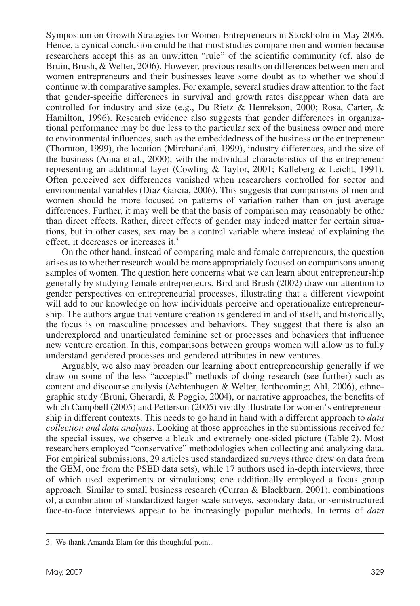Symposium on Growth Strategies for Women Entrepreneurs in Stockholm in May 2006. Hence, a cynical conclusion could be that most studies compare men and women because researchers accept this as an unwritten "rule" of the scientific community (cf. also de Bruin, Brush, & Welter, 2006). However, previous results on differences between men and women entrepreneurs and their businesses leave some doubt as to whether we should continue with comparative samples. For example, several studies draw attention to the fact that gender-specific differences in survival and growth rates disappear when data are controlled for industry and size (e.g., Du Rietz & Henrekson, 2000; Rosa, Carter, & Hamilton, 1996). Research evidence also suggests that gender differences in organizational performance may be due less to the particular sex of the business owner and more to environmental influences, such as the embeddedness of the business or the entrepreneur (Thornton, 1999), the location (Mirchandani, 1999), industry differences, and the size of the business (Anna et al., 2000), with the individual characteristics of the entrepreneur representing an additional layer (Cowling & Taylor, 2001; Kalleberg & Leicht, 1991). Often perceived sex differences vanished when researchers controlled for sector and environmental variables (Diaz Garcia, 2006). This suggests that comparisons of men and women should be more focused on patterns of variation rather than on just average differences. Further, it may well be that the basis of comparison may reasonably be other than direct effects. Rather, direct effects of gender may indeed matter for certain situations, but in other cases, sex may be a control variable where instead of explaining the effect, it decreases or increases it.3

On the other hand, instead of comparing male and female entrepreneurs, the question arises as to whether research would be more appropriately focused on comparisons among samples of women. The question here concerns what we can learn about entrepreneurship generally by studying female entrepreneurs. Bird and Brush (2002) draw our attention to gender perspectives on entrepreneurial processes, illustrating that a different viewpoint will add to our knowledge on how individuals perceive and operationalize entrepreneurship. The authors argue that venture creation is gendered in and of itself, and historically, the focus is on masculine processes and behaviors. They suggest that there is also an underexplored and unarticulated feminine set or processes and behaviors that influence new venture creation. In this, comparisons between groups women will allow us to fully understand gendered processes and gendered attributes in new ventures.

Arguably, we also may broaden our learning about entrepreneurship generally if we draw on some of the less "accepted" methods of doing research (see further) such as content and discourse analysis (Achtenhagen & Welter, forthcoming; Ahl, 2006), ethnographic study (Bruni, Gherardi, & Poggio, 2004), or narrative approaches, the benefits of which Campbell (2005) and Petterson (2005) vividly illustrate for women's entrepreneurship in different contexts. This needs to go hand in hand with a different approach to *data collection and data analysis*. Looking at those approaches in the submissions received for the special issues, we observe a bleak and extremely one-sided picture (Table 2). Most researchers employed "conservative" methodologies when collecting and analyzing data. For empirical submissions, 29 articles used standardized surveys (three drew on data from the GEM, one from the PSED data sets), while 17 authors used in-depth interviews, three of which used experiments or simulations; one additionally employed a focus group approach. Similar to small business research (Curran & Blackburn, 2001), combinations of, a combination of standardized larger-scale surveys, secondary data, or semistructured face-to-face interviews appear to be increasingly popular methods. In terms of *data*

<sup>3.</sup> We thank Amanda Elam for this thoughtful point.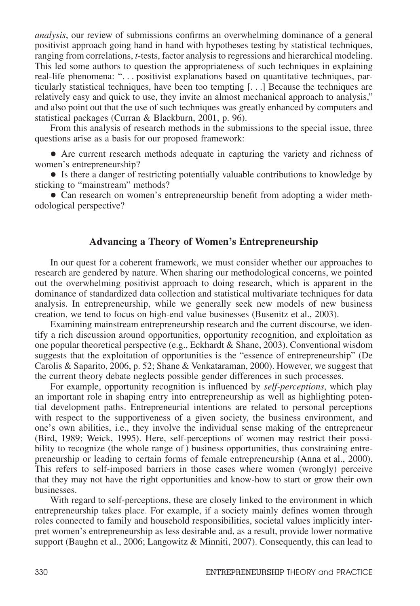*analysis*, our review of submissions confirms an overwhelming dominance of a general positivist approach going hand in hand with hypotheses testing by statistical techniques, ranging from correlations, *t*-tests, factor analysis to regressions and hierarchical modeling. This led some authors to question the appropriateness of such techniques in explaining real-life phenomena: ". . . positivist explanations based on quantitative techniques, particularly statistical techniques, have been too tempting [. . .] Because the techniques are relatively easy and quick to use, they invite an almost mechanical approach to analysis," and also point out that the use of such techniques was greatly enhanced by computers and statistical packages (Curran & Blackburn, 2001, p. 96).

From this analysis of research methods in the submissions to the special issue, three questions arise as a basis for our proposed framework:

• Are current research methods adequate in capturing the variety and richness of women's entrepreneurship?

• Is there a danger of restricting potentially valuable contributions to knowledge by sticking to "mainstream" methods?

• Can research on women's entrepreneurship benefit from adopting a wider methodological perspective?

#### **Advancing a Theory of Women's Entrepreneurship**

In our quest for a coherent framework, we must consider whether our approaches to research are gendered by nature. When sharing our methodological concerns, we pointed out the overwhelming positivist approach to doing research, which is apparent in the dominance of standardized data collection and statistical multivariate techniques for data analysis. In entrepreneurship, while we generally seek new models of new business creation, we tend to focus on high-end value businesses (Busenitz et al., 2003).

Examining mainstream entrepreneurship research and the current discourse, we identify a rich discussion around opportunities, opportunity recognition, and exploitation as one popular theoretical perspective (e.g., Eckhardt & Shane, 2003). Conventional wisdom suggests that the exploitation of opportunities is the "essence of entrepreneurship" (De Carolis & Saparito, 2006, p. 52; Shane & Venkataraman, 2000). However, we suggest that the current theory debate neglects possible gender differences in such processes.

For example, opportunity recognition is influenced by *self-perceptions*, which play an important role in shaping entry into entrepreneurship as well as highlighting potential development paths. Entrepreneurial intentions are related to personal perceptions with respect to the supportiveness of a given society, the business environment, and one's own abilities, i.e., they involve the individual sense making of the entrepreneur (Bird, 1989; Weick, 1995). Here, self-perceptions of women may restrict their possibility to recognize (the whole range of ) business opportunities, thus constraining entrepreneurship or leading to certain forms of female entrepreneurship (Anna et al., 2000). This refers to self-imposed barriers in those cases where women (wrongly) perceive that they may not have the right opportunities and know-how to start or grow their own businesses.

With regard to self-perceptions, these are closely linked to the environment in which entrepreneurship takes place. For example, if a society mainly defines women through roles connected to family and household responsibilities, societal values implicitly interpret women's entrepreneurship as less desirable and, as a result, provide lower normative support (Baughn et al., 2006; Langowitz & Minniti, 2007). Consequently, this can lead to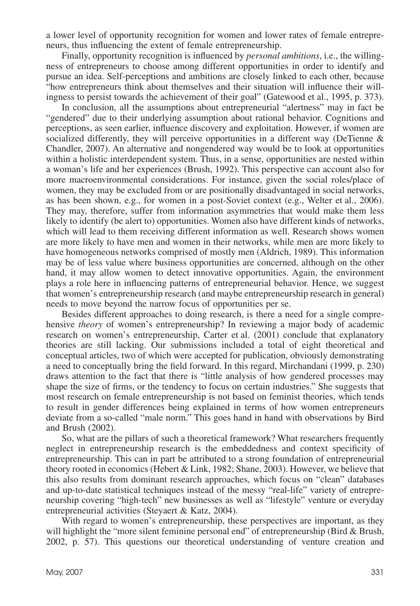a lower level of opportunity recognition for women and lower rates of female entrepreneurs, thus influencing the extent of female entrepreneurship.

Finally, opportunity recognition is influenced by *personal ambitions*, i.e., the willingness of entrepreneurs to choose among different opportunities in order to identify and pursue an idea. Self-perceptions and ambitions are closely linked to each other, because "how entrepreneurs think about themselves and their situation will influence their willingness to persist towards the achievement of their goal" (Gatewood et al., 1995, p. 373).

In conclusion, all the assumptions about entrepreneurial "alertness" may in fact be "gendered" due to their underlying assumption about rational behavior. Cognitions and perceptions, as seen earlier, influence discovery and exploitation. However, if women are socialized differently, they will perceive opportunities in a different way (DeTienne & Chandler, 2007). An alternative and nongendered way would be to look at opportunities within a holistic interdependent system. Thus, in a sense, opportunities are nested within a woman's life and her experiences (Brush, 1992). This perspective can account also for more macroenvironmental considerations. For instance, given the social roles/place of women, they may be excluded from or are positionally disadvantaged in social networks, as has been shown, e.g., for women in a post-Soviet context (e.g., Welter et al., 2006). They may, therefore, suffer from information asymmetries that would make them less likely to identify (be alert to) opportunities. Women also have different kinds of networks, which will lead to them receiving different information as well. Research shows women are more likely to have men and women in their networks, while men are more likely to have homogeneous networks comprised of mostly men (Aldrich, 1989). This information may be of less value where business opportunities are concerned, although on the other hand, it may allow women to detect innovative opportunities. Again, the environment plays a role here in influencing patterns of entrepreneurial behavior. Hence, we suggest that women's entrepreneurship research (and maybe entrepreneurship research in general) needs to move beyond the narrow focus of opportunities per se.

Besides different approaches to doing research, is there a need for a single comprehensive *theory* of women's entrepreneurship? In reviewing a major body of academic research on women's entrepreneurship, Carter et al. (2001) conclude that explanatory theories are still lacking. Our submissions included a total of eight theoretical and conceptual articles, two of which were accepted for publication, obviously demonstrating a need to conceptually bring the field forward. In this regard, Mirchandani (1999, p. 230) draws attention to the fact that there is "little analysis of how gendered processes may shape the size of firms, or the tendency to focus on certain industries." She suggests that most research on female entrepreneurship is not based on feminist theories, which tends to result in gender differences being explained in terms of how women entrepreneurs deviate from a so-called "male norm." This goes hand in hand with observations by Bird and Brush (2002).

So, what are the pillars of such a theoretical framework? What researchers frequently neglect in entrepreneurship research is the embeddedness and context specificity of entrepreneurship. This can in part be attributed to a strong foundation of entrepreneurial theory rooted in economics (Hebert & Link, 1982; Shane, 2003). However, we believe that this also results from dominant research approaches, which focus on "clean" databases and up-to-date statistical techniques instead of the messy "real-life" variety of entrepreneurship covering "high-tech" new businesses as well as "lifestyle" venture or everyday entrepreneurial activities (Steyaert & Katz, 2004).

With regard to women's entrepreneurship, these perspectives are important, as they will highlight the "more silent feminine personal end" of entrepreneurship (Bird & Brush, 2002, p. 57). This questions our theoretical understanding of venture creation and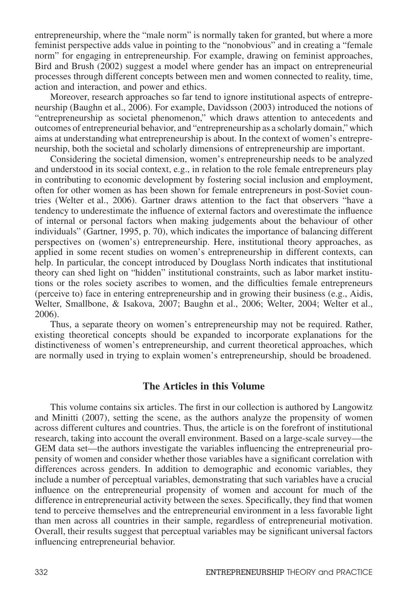entrepreneurship, where the "male norm" is normally taken for granted, but where a more feminist perspective adds value in pointing to the "nonobvious" and in creating a "female norm" for engaging in entrepreneurship. For example, drawing on feminist approaches, Bird and Brush (2002) suggest a model where gender has an impact on entrepreneurial processes through different concepts between men and women connected to reality, time, action and interaction, and power and ethics.

Moreover, research approaches so far tend to ignore institutional aspects of entrepreneurship (Baughn et al., 2006). For example, Davidsson (2003) introduced the notions of "entrepreneurship as societal phenomenon," which draws attention to antecedents and outcomes of entrepreneurial behavior, and "entrepreneurship as a scholarly domain," which aims at understanding what entrepreneurship is about. In the context of women's entrepreneurship, both the societal and scholarly dimensions of entrepreneurship are important.

Considering the societal dimension, women's entrepreneurship needs to be analyzed and understood in its social context, e.g., in relation to the role female entrepreneurs play in contributing to economic development by fostering social inclusion and employment, often for other women as has been shown for female entrepreneurs in post-Soviet countries (Welter et al., 2006). Gartner draws attention to the fact that observers "have a tendency to underestimate the influence of external factors and overestimate the influence of internal or personal factors when making judgements about the behaviour of other individuals" (Gartner, 1995, p. 70), which indicates the importance of balancing different perspectives on (women's) entrepreneurship. Here, institutional theory approaches, as applied in some recent studies on women's entrepreneurship in different contexts, can help. In particular, the concept introduced by Douglass North indicates that institutional theory can shed light on "hidden" institutional constraints, such as labor market institutions or the roles society ascribes to women, and the difficulties female entrepreneurs (perceive to) face in entering entrepreneurship and in growing their business (e.g., Aidis, Welter, Smallbone, & Isakova, 2007; Baughn et al., 2006; Welter, 2004; Welter et al., 2006).

Thus, a separate theory on women's entrepreneurship may not be required. Rather, existing theoretical concepts should be expanded to incorporate explanations for the distinctiveness of women's entrepreneurship, and current theoretical approaches, which are normally used in trying to explain women's entrepreneurship, should be broadened.

## **The Articles in this Volume**

This volume contains six articles. The first in our collection is authored by Langowitz and Minitti (2007), setting the scene, as the authors analyze the propensity of women across different cultures and countries. Thus, the article is on the forefront of institutional research, taking into account the overall environment. Based on a large-scale survey—the GEM data set—the authors investigate the variables influencing the entrepreneurial propensity of women and consider whether those variables have a significant correlation with differences across genders. In addition to demographic and economic variables, they include a number of perceptual variables, demonstrating that such variables have a crucial influence on the entrepreneurial propensity of women and account for much of the difference in entrepreneurial activity between the sexes. Specifically, they find that women tend to perceive themselves and the entrepreneurial environment in a less favorable light than men across all countries in their sample, regardless of entrepreneurial motivation. Overall, their results suggest that perceptual variables may be significant universal factors influencing entrepreneurial behavior.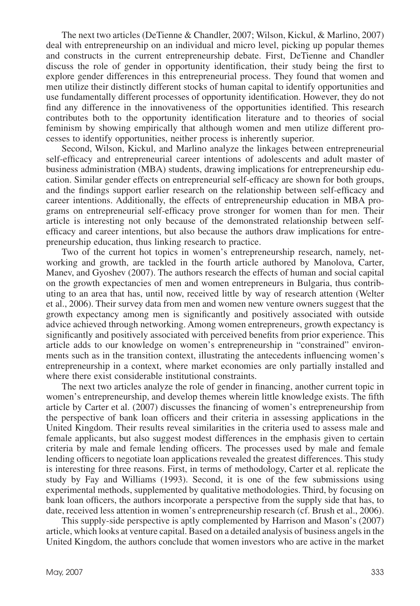The next two articles (DeTienne & Chandler, 2007; Wilson, Kickul, & Marlino, 2007) deal with entrepreneurship on an individual and micro level, picking up popular themes and constructs in the current entrepreneurship debate. First, DeTienne and Chandler discuss the role of gender in opportunity identification, their study being the first to explore gender differences in this entrepreneurial process. They found that women and men utilize their distinctly different stocks of human capital to identify opportunities and use fundamentally different processes of opportunity identification. However, they do not find any difference in the innovativeness of the opportunities identified. This research contributes both to the opportunity identification literature and to theories of social feminism by showing empirically that although women and men utilize different processes to identify opportunities, neither process is inherently superior.

Second, Wilson, Kickul, and Marlino analyze the linkages between entrepreneurial self-efficacy and entrepreneurial career intentions of adolescents and adult master of business administration (MBA) students, drawing implications for entrepreneurship education. Similar gender effects on entrepreneurial self-efficacy are shown for both groups, and the findings support earlier research on the relationship between self-efficacy and career intentions. Additionally, the effects of entrepreneurship education in MBA programs on entrepreneurial self-efficacy prove stronger for women than for men. Their article is interesting not only because of the demonstrated relationship between selfefficacy and career intentions, but also because the authors draw implications for entrepreneurship education, thus linking research to practice.

Two of the current hot topics in women's entrepreneurship research, namely, networking and growth, are tackled in the fourth article authored by Manolova, Carter, Manev, and Gyoshev (2007). The authors research the effects of human and social capital on the growth expectancies of men and women entrepreneurs in Bulgaria, thus contributing to an area that has, until now, received little by way of research attention (Welter et al., 2006). Their survey data from men and women new venture owners suggest that the growth expectancy among men is significantly and positively associated with outside advice achieved through networking. Among women entrepreneurs, growth expectancy is significantly and positively associated with perceived benefits from prior experience. This article adds to our knowledge on women's entrepreneurship in "constrained" environments such as in the transition context, illustrating the antecedents influencing women's entrepreneurship in a context, where market economies are only partially installed and where there exist considerable institutional constraints.

The next two articles analyze the role of gender in financing, another current topic in women's entrepreneurship, and develop themes wherein little knowledge exists. The fifth article by Carter et al. (2007) discusses the financing of women's entrepreneurship from the perspective of bank loan officers and their criteria in assessing applications in the United Kingdom. Their results reveal similarities in the criteria used to assess male and female applicants, but also suggest modest differences in the emphasis given to certain criteria by male and female lending officers. The processes used by male and female lending officers to negotiate loan applications revealed the greatest differences. This study is interesting for three reasons. First, in terms of methodology, Carter et al. replicate the study by Fay and Williams (1993). Second, it is one of the few submissions using experimental methods, supplemented by qualitative methodologies. Third, by focusing on bank loan officers, the authors incorporate a perspective from the supply side that has, to date, received less attention in women's entrepreneurship research (cf. Brush et al., 2006).

This supply-side perspective is aptly complemented by Harrison and Mason's (2007) article, which looks at venture capital. Based on a detailed analysis of business angels in the United Kingdom, the authors conclude that women investors who are active in the market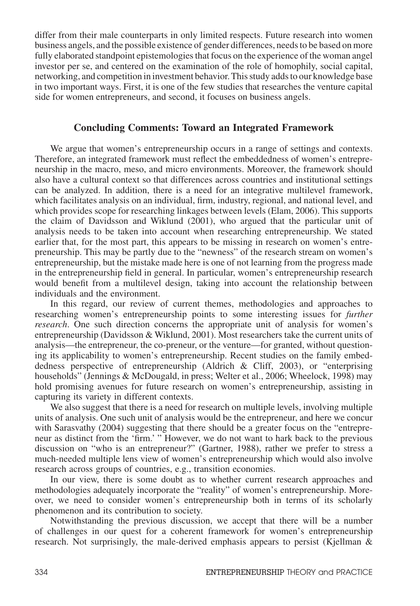differ from their male counterparts in only limited respects. Future research into women business angels, and the possible existence of gender differences, needs to be based on more fully elaborated standpoint epistemologies that focus on the experience of the woman angel investor per se, and centered on the examination of the role of homophily, social capital, networking, and competition in investment behavior. This study adds to our knowledge base in two important ways. First, it is one of the few studies that researches the venture capital side for women entrepreneurs, and second, it focuses on business angels.

## **Concluding Comments: Toward an Integrated Framework**

We argue that women's entrepreneurship occurs in a range of settings and contexts. Therefore, an integrated framework must reflect the embeddedness of women's entrepreneurship in the macro, meso, and micro environments. Moreover, the framework should also have a cultural context so that differences across countries and institutional settings can be analyzed. In addition, there is a need for an integrative multilevel framework, which facilitates analysis on an individual, firm, industry, regional, and national level, and which provides scope for researching linkages between levels (Elam, 2006). This supports the claim of Davidsson and Wiklund (2001), who argued that the particular unit of analysis needs to be taken into account when researching entrepreneurship. We stated earlier that, for the most part, this appears to be missing in research on women's entrepreneurship. This may be partly due to the "newness" of the research stream on women's entrepreneurship, but the mistake made here is one of not learning from the progress made in the entrepreneurship field in general. In particular, women's entrepreneurship research would benefit from a multilevel design, taking into account the relationship between individuals and the environment.

In this regard, our review of current themes, methodologies and approaches to researching women's entrepreneurship points to some interesting issues for *further research*. One such direction concerns the appropriate unit of analysis for women's entrepreneurship (Davidsson & Wiklund, 2001). Most researchers take the current units of analysis—the entrepreneur, the co-preneur, or the venture—for granted, without questioning its applicability to women's entrepreneurship. Recent studies on the family embeddedness perspective of entrepreneurship (Aldrich & Cliff, 2003), or "enterprising households" (Jennings & McDougald, in press; Welter et al., 2006; Wheelock, 1998) may hold promising avenues for future research on women's entrepreneurship, assisting in capturing its variety in different contexts.

We also suggest that there is a need for research on multiple levels, involving multiple units of analysis. One such unit of analysis would be the entrepreneur, and here we concur with Sarasvathy (2004) suggesting that there should be a greater focus on the "entrepreneur as distinct from the 'firm.' " However, we do not want to hark back to the previous discussion on "who is an entrepreneur?" (Gartner, 1988), rather we prefer to stress a much-needed multiple lens view of women's entrepreneurship which would also involve research across groups of countries, e.g., transition economies.

In our view, there is some doubt as to whether current research approaches and methodologies adequately incorporate the "reality" of women's entrepreneurship. Moreover, we need to consider women's entrepreneurship both in terms of its scholarly phenomenon and its contribution to society.

Notwithstanding the previous discussion, we accept that there will be a number of challenges in our quest for a coherent framework for women's entrepreneurship research. Not surprisingly, the male-derived emphasis appears to persist (Kjellman  $\&$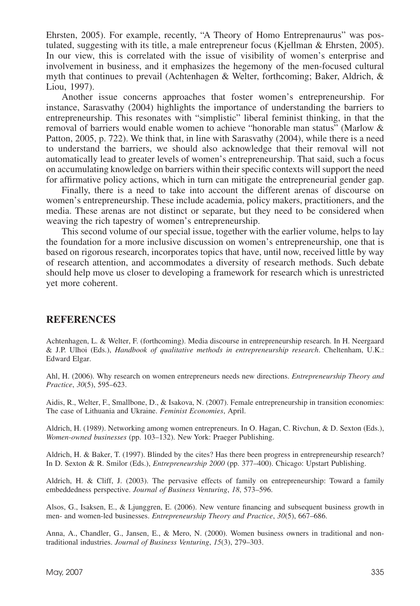Ehrsten, 2005). For example, recently, "A Theory of Homo Entreprenaurus" was postulated, suggesting with its title, a male entrepreneur focus (Kjellman & Ehrsten, 2005). In our view, this is correlated with the issue of visibility of women's enterprise and involvement in business, and it emphasizes the hegemony of the men-focused cultural myth that continues to prevail (Achtenhagen & Welter, forthcoming; Baker, Aldrich, & Liou, 1997).

Another issue concerns approaches that foster women's entrepreneurship. For instance, Sarasvathy (2004) highlights the importance of understanding the barriers to entrepreneurship. This resonates with "simplistic" liberal feminist thinking, in that the removal of barriers would enable women to achieve "honorable man status" (Marlow & Patton, 2005, p. 722). We think that, in line with Sarasvathy (2004), while there is a need to understand the barriers, we should also acknowledge that their removal will not automatically lead to greater levels of women's entrepreneurship. That said, such a focus on accumulating knowledge on barriers within their specific contexts will support the need for affirmative policy actions, which in turn can mitigate the entrepreneurial gender gap.

Finally, there is a need to take into account the different arenas of discourse on women's entrepreneurship. These include academia, policy makers, practitioners, and the media. These arenas are not distinct or separate, but they need to be considered when weaving the rich tapestry of women's entrepreneurship.

This second volume of our special issue, together with the earlier volume, helps to lay the foundation for a more inclusive discussion on women's entrepreneurship, one that is based on rigorous research, incorporates topics that have, until now, received little by way of research attention, and accommodates a diversity of research methods. Such debate should help move us closer to developing a framework for research which is unrestricted yet more coherent.

#### **REFERENCES**

Achtenhagen, L. & Welter, F. (forthcoming). Media discourse in entrepreneurship research. In H. Neergaard & J.P. Ulhoi (Eds.), *Handbook of qualitative methods in entrepreneurship research*. Cheltenham, U.K.: Edward Elgar.

Ahl, H. (2006). Why research on women entrepreneurs needs new directions. *Entrepreneurship Theory and Practice*, *30*(5), 595–623.

Aidis, R., Welter, F., Smallbone, D., & Isakova, N. (2007). Female entrepreneurship in transition economies: The case of Lithuania and Ukraine. *Feminist Economies*, April.

Aldrich, H. (1989). Networking among women entrepreneurs. In O. Hagan, C. Rivchun, & D. Sexton (Eds.), *Women-owned businesses* (pp. 103–132). New York: Praeger Publishing.

Aldrich, H. & Baker, T. (1997). Blinded by the cites? Has there been progress in entrepreneurship research? In D. Sexton & R. Smilor (Eds.), *Entrepreneurship 2000* (pp. 377–400). Chicago: Upstart Publishing.

Aldrich, H. & Cliff, J. (2003). The pervasive effects of family on entrepreneurship: Toward a family embeddedness perspective. *Journal of Business Venturing*, *18*, 573–596.

Alsos, G., Isaksen, E., & Ljunggren, E. (2006). New venture financing and subsequent business growth in men- and women-led businesses. *Entrepreneurship Theory and Practice*, *30*(5), 667–686.

Anna, A., Chandler, G., Jansen, E., & Mero, N. (2000). Women business owners in traditional and nontraditional industries. *Journal of Business Venturing*, *15*(3), 279–303.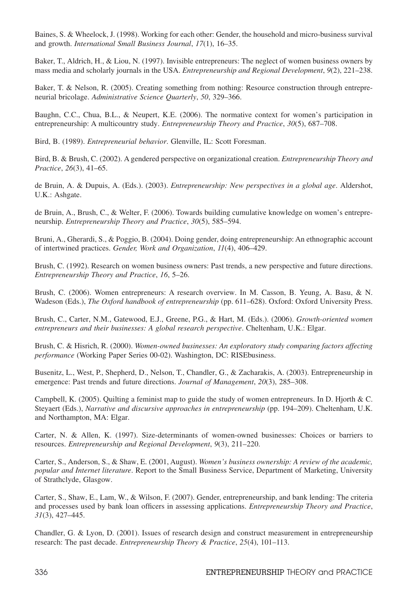Baines, S. & Wheelock, J. (1998). Working for each other: Gender, the household and micro-business survival and growth. *International Small Business Journal*, *17*(1), 16–35.

Baker, T., Aldrich, H., & Liou, N. (1997). Invisible entrepreneurs: The neglect of women business owners by mass media and scholarly journals in the USA. *Entrepreneurship and Regional Development*, *9*(2), 221–238.

Baker, T. & Nelson, R. (2005). Creating something from nothing: Resource construction through entrepreneurial bricolage. *Administrative Science Quarterly*, *50*, 329–366.

Baughn, C.C., Chua, B.L., & Neupert, K.E. (2006). The normative context for women's participation in entrepreneurship: A multicountry study. *Entrepreneurship Theory and Practice*, *30*(5), 687–708.

Bird, B. (1989). *Entrepreneurial behavior*. Glenville, IL: Scott Foresman.

Bird, B. & Brush, C. (2002). A gendered perspective on organizational creation. *Entrepreneurship Theory and Practice*, *26*(3), 41–65.

de Bruin, A. & Dupuis, A. (Eds.). (2003). *Entrepreneurship: New perspectives in a global age*. Aldershot, U.K.: Ashgate.

de Bruin, A., Brush, C., & Welter, F. (2006). Towards building cumulative knowledge on women's entrepreneurship. *Entrepreneurship Theory and Practice*, *30*(5), 585–594.

Bruni, A., Gherardi, S., & Poggio, B. (2004). Doing gender, doing entrepreneurship: An ethnographic account of intertwined practices. *Gender, Work and Organization*, *11*(4), 406–429.

Brush, C. (1992). Research on women business owners: Past trends, a new perspective and future directions. *Entrepreneurship Theory and Practice*, *16*, 5–26.

Brush, C. (2006). Women entrepreneurs: A research overview. In M. Casson, B. Yeung, A. Basu, & N. Wadeson (Eds.), *The Oxford handbook of entrepreneurship* (pp. 611–628). Oxford: Oxford University Press.

Brush, C., Carter, N.M., Gatewood, E.J., Greene, P.G., & Hart, M. (Eds.). (2006). *Growth-oriented women entrepreneurs and their businesses: A global research perspective*. Cheltenham, U.K.: Elgar.

Brush, C. & Hisrich, R. (2000). *Women-owned businesses: An exploratory study comparing factors affecting performance* (Working Paper Series 00-02). Washington, DC: RISEbusiness.

Busenitz, L., West, P., Shepherd, D., Nelson, T., Chandler, G., & Zacharakis, A. (2003). Entrepreneurship in emergence: Past trends and future directions. *Journal of Management*, *20*(3), 285–308.

Campbell, K. (2005). Quilting a feminist map to guide the study of women entrepreneurs. In D. Hjorth & C. Steyaert (Eds.), *Narrative and discursive approaches in entrepreneurship* (pp. 194–209). Cheltenham, U.K. and Northampton, MA: Elgar.

Carter, N. & Allen, K. (1997). Size-determinants of women-owned businesses: Choices or barriers to resources. *Entrepreneurship and Regional Development*, *9*(3), 211–220.

Carter, S., Anderson, S., & Shaw, E. (2001, August). *Women's business ownership: A review of the academic, popular and Internet literature*. Report to the Small Business Service, Department of Marketing, University of Strathclyde, Glasgow.

Carter, S., Shaw, E., Lam, W., & Wilson, F. (2007). Gender, entrepreneurship, and bank lending: The criteria and processes used by bank loan officers in assessing applications. *Entrepreneurship Theory and Practice*, *31*(3), 427–445.

Chandler, G. & Lyon, D. (2001). Issues of research design and construct measurement in entrepreneurship research: The past decade. *Entrepreneurship Theory & Practice*, *25*(4), 101–113.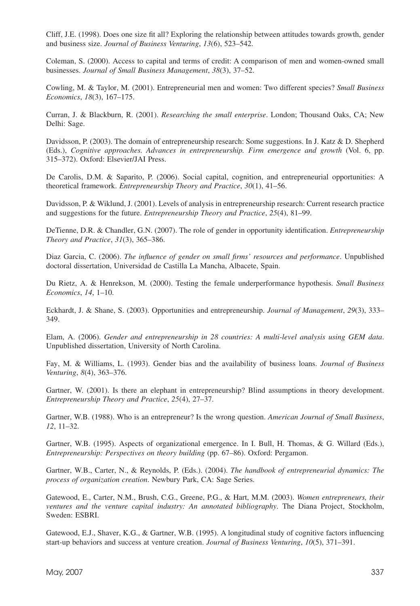Cliff, J.E. (1998). Does one size fit all? Exploring the relationship between attitudes towards growth, gender and business size. *Journal of Business Venturing*, *13*(6), 523–542.

Coleman, S. (2000). Access to capital and terms of credit: A comparison of men and women-owned small businesses. *Journal of Small Business Management*, *38*(3), 37–52.

Cowling, M. & Taylor, M. (2001). Entrepreneurial men and women: Two different species? *Small Business Economics*, *18*(3), 167–175.

Curran, J. & Blackburn, R. (2001). *Researching the small enterprise*. London; Thousand Oaks, CA; New Delhi: Sage.

Davidsson, P. (2003). The domain of entrepreneurship research: Some suggestions. In J. Katz & D. Shepherd (Eds.), *Cognitive approaches. Advances in entrepreneurship. Firm emergence and growth* (Vol. 6, pp. 315–372). Oxford: Elsevier/JAI Press.

De Carolis, D.M. & Saparito, P. (2006). Social capital, cognition, and entrepreneurial opportunities: A theoretical framework. *Entrepreneurship Theory and Practice*, *30*(1), 41–56.

Davidsson, P. & Wiklund, J. (2001). Levels of analysis in entrepreneurship research: Current research practice and suggestions for the future. *Entrepreneurship Theory and Practice*, *25*(4), 81–99.

DeTienne, D.R. & Chandler, G.N. (2007). The role of gender in opportunity identification. *Entrepreneurship Theory and Practice*, *31*(3), 365–386.

Diaz Garcia, C. (2006). *The influence of gender on small firms' resources and performance*. Unpublished doctoral dissertation, Universidad de Castilla La Mancha, Albacete, Spain.

Du Rietz, A. & Henrekson, M. (2000). Testing the female underperformance hypothesis. *Small Business Economics*, *14*, 1–10.

Eckhardt, J. & Shane, S. (2003). Opportunities and entrepreneurship. *Journal of Management*, *29*(3), 333– 349.

Elam, A. (2006). *Gender and entrepreneurship in 28 countries: A multi-level analysis using GEM data*. Unpublished dissertation, University of North Carolina.

Fay, M. & Williams, L. (1993). Gender bias and the availability of business loans. *Journal of Business Venturing*, *8*(4), 363–376.

Gartner, W. (2001). Is there an elephant in entrepreneurship? Blind assumptions in theory development. *Entrepreneurship Theory and Practice*, *25*(4), 27–37.

Gartner, W.B. (1988). Who is an entrepreneur? Is the wrong question. *American Journal of Small Business*, *12*, 11–32.

Gartner, W.B. (1995). Aspects of organizational emergence. In I. Bull, H. Thomas, & G. Willard (Eds.), *Entrepreneurship: Perspectives on theory building* (pp. 67–86). Oxford: Pergamon.

Gartner, W.B., Carter, N., & Reynolds, P. (Eds.). (2004). *The handbook of entrepreneurial dynamics: The process of organization creation*. Newbury Park, CA: Sage Series.

Gatewood, E., Carter, N.M., Brush, C.G., Greene, P.G., & Hart, M.M. (2003). *Women entrepreneurs, their ventures and the venture capital industry: An annotated bibliography*. The Diana Project, Stockholm, Sweden: ESBRI.

Gatewood, E.J., Shaver, K.G., & Gartner, W.B. (1995). A longitudinal study of cognitive factors influencing start-up behaviors and success at venture creation. *Journal of Business Venturing*, *10*(5), 371–391.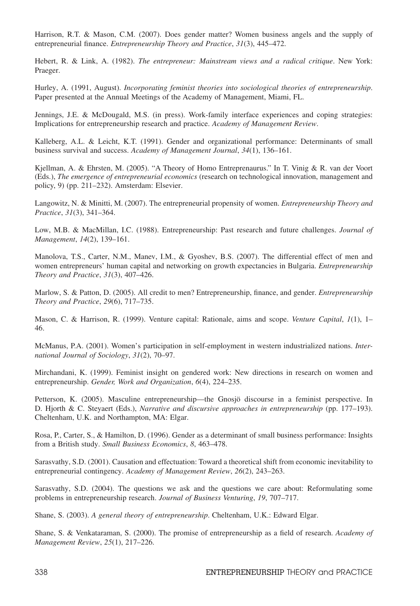Harrison, R.T. & Mason, C.M. (2007). Does gender matter? Women business angels and the supply of entrepreneurial finance. *Entrepreneurship Theory and Practice*, *31*(3), 445–472.

Hebert, R. & Link, A. (1982). *The entrepreneur: Mainstream views and a radical critique*. New York: Praeger.

Hurley, A. (1991, August). *Incorporating feminist theories into sociological theories of entrepreneurship*. Paper presented at the Annual Meetings of the Academy of Management, Miami, FL.

Jennings, J.E. & McDougald, M.S. (in press). Work-family interface experiences and coping strategies: Implications for entrepreneurship research and practice. *Academy of Management Review*.

Kalleberg, A.L. & Leicht, K.T. (1991). Gender and organizational performance: Determinants of small business survival and success. *Academy of Management Journal*, *34*(1), 136–161.

Kjellman, A. & Ehrsten, M. (2005). "A Theory of Homo Entreprenaurus." In T. Vinig & R. van der Voort (Eds.), *The emergence of entrepreneurial economics* (research on technological innovation, management and policy, 9) (pp. 211–232). Amsterdam: Elsevier.

Langowitz, N. & Minitti, M. (2007). The entrepreneurial propensity of women. *Entrepreneurship Theory and Practice*, *31*(3), 341–364.

Low, M.B. & MacMillan, I.C. (1988). Entrepreneurship: Past research and future challenges. *Journal of Management*, *14*(2), 139–161.

Manolova, T.S., Carter, N.M., Manev, I.M., & Gyoshev, B.S. (2007). The differential effect of men and women entrepreneurs' human capital and networking on growth expectancies in Bulgaria. *Entrepreneurship Theory and Practice*, *31*(3), 407–426.

Marlow, S. & Patton, D. (2005). All credit to men? Entrepreneurship, finance, and gender. *Entrepreneurship Theory and Practice*, *29*(6), 717–735.

Mason, C. & Harrison, R. (1999). Venture capital: Rationale, aims and scope. *Venture Capital*, *1*(1), 1– 46.

McManus, P.A. (2001). Women's participation in self-employment in western industrialized nations. *International Journal of Sociology*, *31*(2), 70–97.

Mirchandani, K. (1999). Feminist insight on gendered work: New directions in research on women and entrepreneurship. *Gender, Work and Organization*, *6*(4), 224–235.

Petterson, K. (2005). Masculine entrepreneurship—the Gnosjö discourse in a feminist perspective. In D. Hjorth & C. Steyaert (Eds.), *Narrative and discursive approaches in entrepreneurship* (pp. 177–193). Cheltenham, U.K. and Northampton, MA: Elgar.

Rosa, P., Carter, S., & Hamilton, D. (1996). Gender as a determinant of small business performance: Insights from a British study. *Small Business Economics*, *8*, 463–478.

Sarasvathy, S.D. (2001). Causation and effectuation: Toward a theoretical shift from economic inevitability to entrepreneurial contingency. *Academy of Management Review*, *26*(2), 243–263.

Sarasvathy, S.D. (2004). The questions we ask and the questions we care about: Reformulating some problems in entrepreneurship research. *Journal of Business Venturing*, *19*, 707–717.

Shane, S. (2003). *A general theory of entrepreneurship*. Cheltenham, U.K.: Edward Elgar.

Shane, S. & Venkataraman, S. (2000). The promise of entrepreneurship as a field of research. *Academy of Management Review*, *25*(1), 217–226.